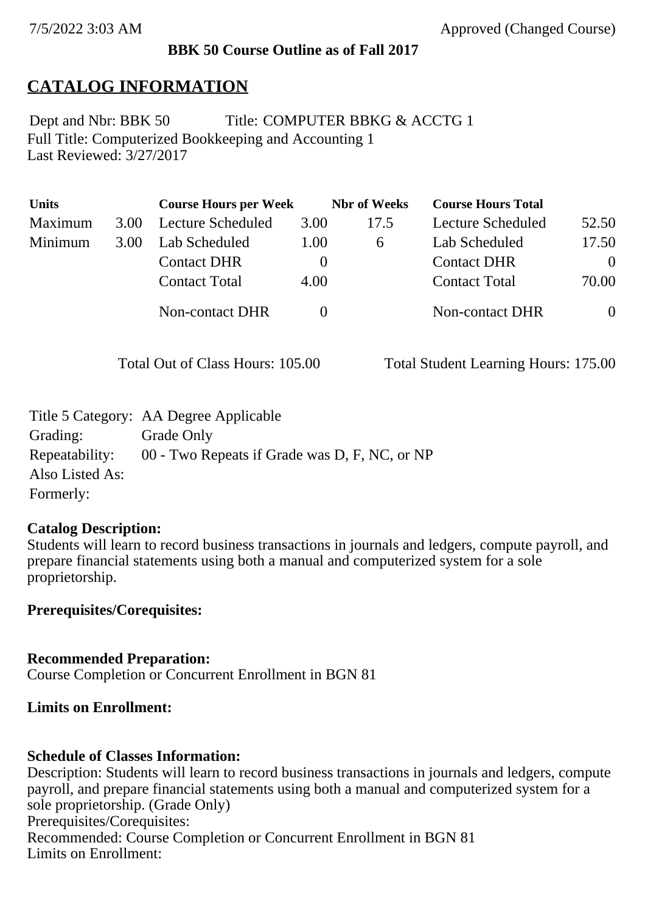#### **BBK 50 Course Outline as of Fall 2017**

## **CATALOG INFORMATION**

Full Title: Computerized Bookkeeping and Accounting 1 Last Reviewed: 3/27/2017 Dept and Nbr: BBK 50 Title: COMPUTER BBKG & ACCTG 1

| <b>Units</b> |      | <b>Course Hours per Week</b> |      | <b>Nbr</b> of Weeks | <b>Course Hours Total</b> |          |
|--------------|------|------------------------------|------|---------------------|---------------------------|----------|
| Maximum      | 3.00 | Lecture Scheduled            | 3.00 | 17.5                | Lecture Scheduled         | 52.50    |
| Minimum      | 3.00 | Lab Scheduled                | 1.00 | 6                   | Lab Scheduled             | 17.50    |
|              |      | <b>Contact DHR</b>           |      |                     | <b>Contact DHR</b>        | $\Omega$ |
|              |      | <b>Contact Total</b>         | 4.00 |                     | <b>Contact Total</b>      | 70.00    |
|              |      | Non-contact DHR              |      |                     | <b>Non-contact DHR</b>    | $\theta$ |

Total Out of Class Hours: 105.00 Total Student Learning Hours: 175.00

|                 | Title 5 Category: AA Degree Applicable        |
|-----------------|-----------------------------------------------|
| Grading:        | Grade Only                                    |
| Repeatability:  | 00 - Two Repeats if Grade was D, F, NC, or NP |
| Also Listed As: |                                               |
| Formerly:       |                                               |

#### **Catalog Description:**

Students will learn to record business transactions in journals and ledgers, compute payroll, and prepare financial statements using both a manual and computerized system for a sole proprietorship.

**Prerequisites/Corequisites:**

#### **Recommended Preparation:**

Course Completion or Concurrent Enrollment in BGN 81

#### **Limits on Enrollment:**

#### **Schedule of Classes Information:**

Description: Students will learn to record business transactions in journals and ledgers, compute payroll, and prepare financial statements using both a manual and computerized system for a sole proprietorship. (Grade Only) Prerequisites/Corequisites: Recommended: Course Completion or Concurrent Enrollment in BGN 81 Limits on Enrollment: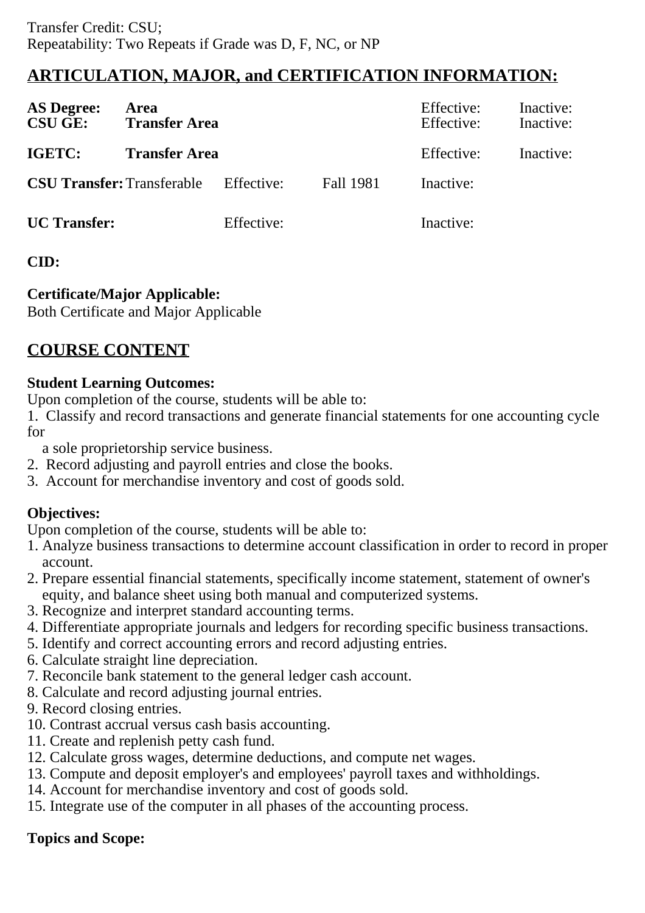# **ARTICULATION, MAJOR, and CERTIFICATION INFORMATION:**

| <b>AS Degree:</b><br><b>CSU GE:</b> | Area<br><b>Transfer Area</b> |            |                  | Effective:<br>Effective: | Inactive:<br>Inactive: |
|-------------------------------------|------------------------------|------------|------------------|--------------------------|------------------------|
| IGETC:                              | <b>Transfer Area</b>         |            |                  | Effective:               | Inactive:              |
| <b>CSU Transfer: Transferable</b>   |                              | Effective: | <b>Fall 1981</b> | Inactive:                |                        |
| <b>UC</b> Transfer:                 |                              | Effective: |                  | Inactive:                |                        |

## **CID:**

## **Certificate/Major Applicable:**

[Both Certificate and Major Applicable](SR_ClassCheck.aspx?CourseKey=BBK50)

# **COURSE CONTENT**

## **Student Learning Outcomes:**

Upon completion of the course, students will be able to:

1. Classify and record transactions and generate financial statements for one accounting cycle for

a sole proprietorship service business.

- 2. Record adjusting and payroll entries and close the books.
- 3. Account for merchandise inventory and cost of goods sold.

## **Objectives:**

Upon completion of the course, students will be able to:

- 1. Analyze business transactions to determine account classification in order to record in proper account.
- 2. Prepare essential financial statements, specifically income statement, statement of owner's equity, and balance sheet using both manual and computerized systems.
- 3. Recognize and interpret standard accounting terms.
- 4. Differentiate appropriate journals and ledgers for recording specific business transactions.
- 5. Identify and correct accounting errors and record adjusting entries.
- 6. Calculate straight line depreciation.
- 7. Reconcile bank statement to the general ledger cash account.
- 8. Calculate and record adjusting journal entries.
- 9. Record closing entries.
- 10. Contrast accrual versus cash basis accounting.
- 11. Create and replenish petty cash fund.
- 12. Calculate gross wages, determine deductions, and compute net wages.
- 13. Compute and deposit employer's and employees' payroll taxes and withholdings.
- 14. Account for merchandise inventory and cost of goods sold.
- 15. Integrate use of the computer in all phases of the accounting process.

## **Topics and Scope:**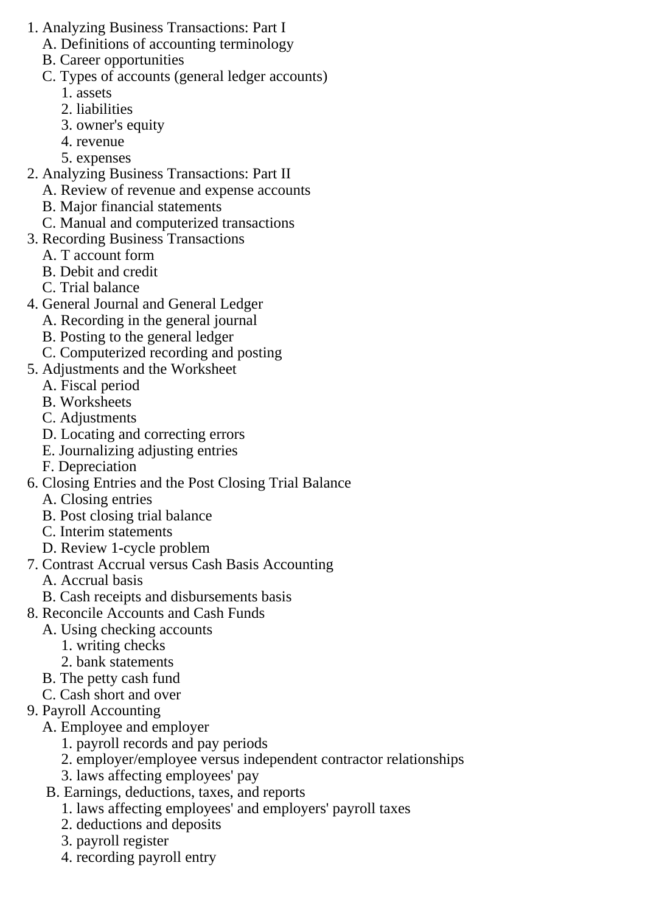- 1. Analyzing Business Transactions: Part I
	- A. Definitions of accounting terminology
	- B. Career opportunities
	- C. Types of accounts (general ledger accounts)
		- 1. assets
		- 2. liabilities
		- 3. owner's equity
		- 4. revenue
		- 5. expenses
- 2. Analyzing Business Transactions: Part II
	- A. Review of revenue and expense accounts
	- B. Major financial statements
	- C. Manual and computerized transactions
- 3. Recording Business Transactions
	- A. T account form
	- B. Debit and credit
	- C. Trial balance
- 4. General Journal and General Ledger
	- A. Recording in the general journal
	- B. Posting to the general ledger
	- C. Computerized recording and posting
- 5. Adjustments and the Worksheet
	- A. Fiscal period
	- B. Worksheets
	- C. Adjustments
	- D. Locating and correcting errors
	- E. Journalizing adjusting entries
	- F. Depreciation
- 6. Closing Entries and the Post Closing Trial Balance
	- A. Closing entries
	- B. Post closing trial balance
	- C. Interim statements
	- D. Review 1-cycle problem
- 7. Contrast Accrual versus Cash Basis Accounting
	- A. Accrual basis
	- B. Cash receipts and disbursements basis
- 8. Reconcile Accounts and Cash Funds
	- A. Using checking accounts
		- 1. writing checks
		- 2. bank statements
	- B. The petty cash fund
	- C. Cash short and over
- 9. Payroll Accounting
	- A. Employee and employer
		- 1. payroll records and pay periods
		- 2. employer/employee versus independent contractor relationships
		- 3. laws affecting employees' pay
	- B. Earnings, deductions, taxes, and reports
		- 1. laws affecting employees' and employers' payroll taxes
		- 2. deductions and deposits
		- 3. payroll register
		- 4. recording payroll entry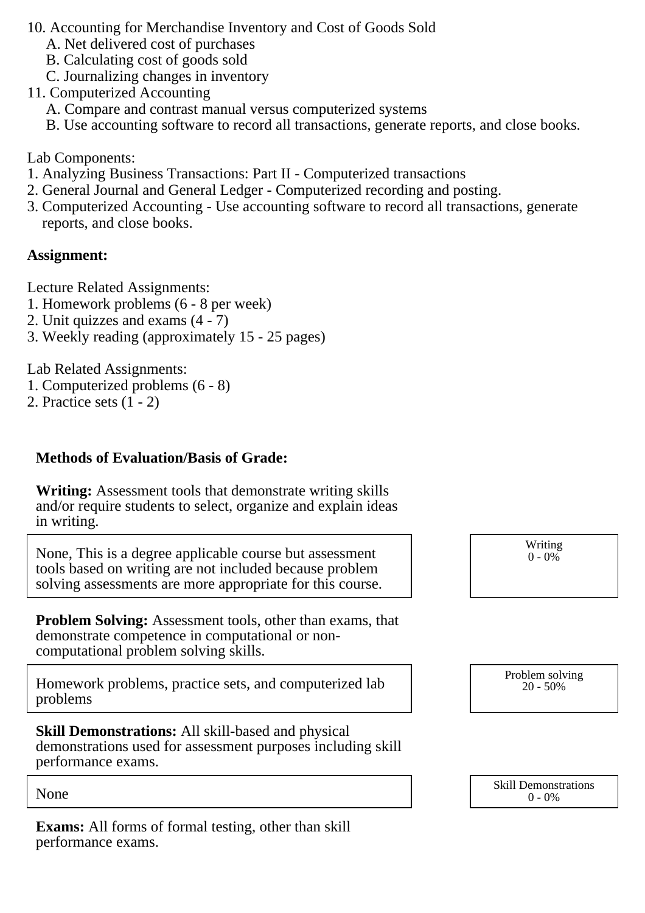- 10. Accounting for Merchandise Inventory and Cost of Goods Sold
	- A. Net delivered cost of purchases
	- B. Calculating cost of goods sold
	- C. Journalizing changes in inventory
- 11. Computerized Accounting
	- A. Compare and contrast manual versus computerized systems
	- B. Use accounting software to record all transactions, generate reports, and close books.

Lab Components:

- 1. Analyzing Business Transactions: Part II Computerized transactions
- 2. General Journal and General Ledger Computerized recording and posting.
- 3. Computerized Accounting Use accounting software to record all transactions, generate reports, and close books.

#### **Assignment:**

Lecture Related Assignments:

- 1. Homework problems (6 8 per week)
- 2. Unit quizzes and exams (4 7)
- 3. Weekly reading (approximately 15 25 pages)

Lab Related Assignments:

- 1. Computerized problems (6 8)
- 2. Practice sets  $(1 2)$

## **Methods of Evaluation/Basis of Grade:**

**Writing:** Assessment tools that demonstrate writing skills and/or require students to select, organize and explain ideas in writing.

None, This is a degree applicable course but assessment tools based on writing are not included because problem solving assessments are more appropriate for this course.

**Problem Solving:** Assessment tools, other than exams, that demonstrate competence in computational or noncomputational problem solving skills.

Homework problems, practice sets, and computerized lab problems

**Skill Demonstrations:** All skill-based and physical demonstrations used for assessment purposes including skill performance exams.

**Exams:** All forms of formal testing, other than skill performance exams.

Writing  $0 - 0\%$ 

Problem solving 20 - 50%

None Skill Demonstrations<br>  $\begin{array}{c} \text{Skill,} \\ 0 \text{ - } 0\% \end{array}$  $0 - 0\%$